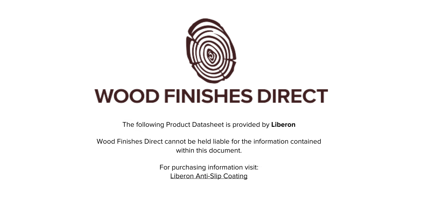

The following Product Datasheet is provided by **Liberon**

Wood Finishes Direct cannot be held liable for the information contained within this document.

> For purchasing information visit: [Liberon Anti-Slip Coating](https://www.wood-finishes-direct.com/product/liberon-anti-slip-coating)